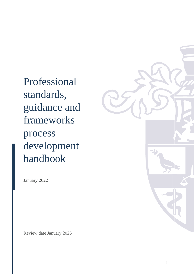Professional standards, guidance and frameworks process development handbook

January 2022

Review date January 2026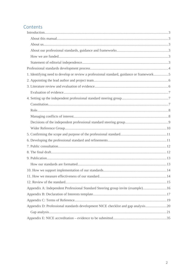## Contents

| 1. Identifying need to develop or review a professional standard, guidance or framework5 |    |
|------------------------------------------------------------------------------------------|----|
|                                                                                          |    |
|                                                                                          |    |
|                                                                                          |    |
|                                                                                          |    |
|                                                                                          |    |
|                                                                                          |    |
|                                                                                          |    |
|                                                                                          |    |
|                                                                                          |    |
|                                                                                          |    |
|                                                                                          |    |
|                                                                                          |    |
|                                                                                          |    |
|                                                                                          |    |
|                                                                                          |    |
|                                                                                          |    |
|                                                                                          | 14 |
|                                                                                          |    |
| Appendix A: Independent Professional Standard Steering group invite (example)16          |    |
|                                                                                          |    |
|                                                                                          |    |
| Appendix D: Professional standards development NICE checklist and gap analysis20         |    |
|                                                                                          |    |
|                                                                                          |    |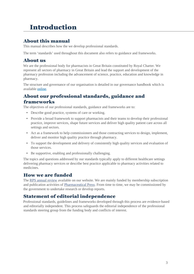# <span id="page-2-5"></span>Introduction

## <span id="page-2-4"></span>About this manual

This manual describes how the we develop professional standards.

The term 'standards' used throughout this document also refers to guidance and frameworks.

## <span id="page-2-3"></span>About us

We are the professional body for pharmacists in Great Britain constituted by Royal Charter. We represent all sectors of pharmacy in Great Britain and lead the support and development of the pharmacy profession including the advancement of science, practice, education and knowledge in pharmacy.

The structure and governance of our organisation is detailed in our governance handbook which is available [online.](https://www.rpharms.com/Portals/0/RPS%20document%20library/Open%20access/Governance%20documents/Governance%20Handbook%202017_18%20CURRENT.pdf?ver=2017-09-08-110105-270)

## <span id="page-2-2"></span>About our professional standards, guidance and frameworks

The objectives of our professional standards, guidance and frameworks are to:

- Describe good practice, systems of care or working.
- Provide a broad framework to support pharmacists and their teams to develop their professional practice, improve services, shape future services and deliver high quality patient care across all settings and sectors.
- Act as a framework to help commissioners and those contracting services to design, implement, deliver and monitor high quality practice through pharmacy.
- To support the development and delivery of consistently high quality services and evaluation of those services.
- Be supportive, enabling and professionally challenging.

The topics and questions addressed by our standards typically apply to different healthcare settings delivering pharmacy services or describe best practice applicable to pharmacy activities related to medicines.

## <span id="page-2-1"></span>How we are funded

The RPS annual review available on our website. We are mainly funded by membership subscription and publication activities of Pharmaceutical Press. From time to time, we may be commissioned by the government to undertake research or develop reports.

## <span id="page-2-0"></span>Statement of editorial independence

Professional standards, guidelines and frameworks developed through this process are evidence-based and editorially independent. This process safeguards the editorial independence of the professional standards steering group from the funding body and conflicts of interest.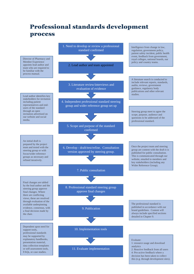## <span id="page-3-0"></span>Professional standards development process

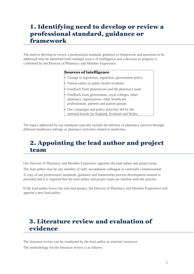## <span id="page-4-2"></span>1. Identifying need to develop or review a professional standard, guidance or framework

The need to develop or review a professional standard, guidance or framework and questions to be addressed may be identified from multiple source of intelligence and a decision to progress is confirmed by the Director of Pharmacy and Member Experience.

### Sources of intelligence

- Change to legislation, regulation, government policy
- Patient safety or public health incidents
- Feedback from pharmacists and the pharmacy team
- Feedback from government, royal colleges, other pharmacy organisations, other healthcare professionals, patients and patient groups
- Our campaigns and policy priorities led by the national boards for England, Scotland and Wales

The topics addressed by our standards typically include the delivery of pharmacy services through different healthcare settings or pharmacy activities related to medicines.

## <span id="page-4-1"></span>2. Appointing the lead author and project team

Our Director of Pharmacy and Member Experience appoints the lead author and project team.

The lead author may be any member of staff, secondment colleague or externally commissioned.

A copy of our professional standards, guidance and frameworks process development manual is provided and it is required that the lead author and project team are familiar with the process.

If the lead author leaves the role mid-project, the Director of Pharmacy and Member Experience will appoint a new lead author.

## <span id="page-4-0"></span>3. Literature review and evaluation of evidence

The literature review can be conducted by the lead author or external contractor.

The methodology for the literature review is as follows: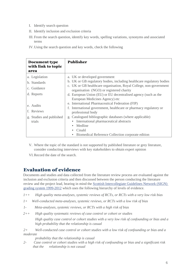- I. Identify search question
- II. Identify inclusion and exclusion criteria
- III. From the search question, identify key words, spelling variations, synonyms and associated terms
- IV.Using the search question and key words, check the following

| <b>Document type</b><br>with link to topic<br>area | <b>Publisher</b>                                                                                               |
|----------------------------------------------------|----------------------------------------------------------------------------------------------------------------|
| a. Legislation                                     | a. UK or developed government                                                                                  |
| b. Standards                                       | b. UK or GB regulatory bodies, including healthcare regulatory bodies                                          |
| c. Guidance                                        | c. UK or GB healthcare organisation, Royal College, non-government<br>organisation (NGO) or registered charity |
| d. Reports                                         | d. European Union (EU) or EU decentralised agency (such as the                                                 |
|                                                    | European Medicines Agency) etc                                                                                 |
| e. Audits                                          | e. International Pharmaceutical Federation (FIP)                                                               |
|                                                    | International government, healthcare or pharmacy regulatory or<br>f.                                           |
| f. Reviews                                         | professional body                                                                                              |
| g. Studies and published                           | g. Catalogued bibliographic databases (where applicable)                                                       |
| trials                                             | International pharmaceutical abstracts                                                                         |
|                                                    | Medline                                                                                                        |
|                                                    | Cinahl                                                                                                         |
|                                                    | Biomedical Reference Collection corporate edition                                                              |

- V. Where the topic of the standard is not supported by published literature or grey literature, consider conducting interviews with key stakeholders to obtain expert opinion
- VI.Record the date of the search.

## <span id="page-5-0"></span>Evaluation of evidence

Documents and studies and data collected from the literature review process are evaluated against the inclusion and exclusion criteria and then discussed between the person conducting the literature review and the project lead, bearing in mind the Scottish Intercollegiate Guidelines Network (SIGN) grading system 1999-2012 which uses the following hierarchy of levels of evidence.

- *1++ High quality meta-analyses, systemic reviews of RCTs, or RCTs with a very low risk bias*
- *1+ Well-conducted meta-analyses, systemic reviews, or RCTs with a low risk of bias*
- *1- Meta-analyses, systemic reviews, or RCTs with a high risk of bias*
- *2++ High quality systematic reviews of case control or cohort or studies*

*High quality case control or cohort studies with a very low risk of confounding or bias and a high probability that the relationship is casual*

*2+ Well-conducted case control or cohort studies with a low risk of confounding or bias and a moderate*

*probability that the relationship is casual*

*2- Case control or cohort studies with a high risk of confounding or bias and a significant risk that the relationship is not casual*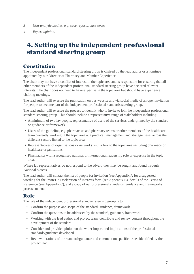- *3 Non-analytic studies, e.g. case reports, case series*
- *4 Expert opinion.*

## <span id="page-6-2"></span>4. Setting up the independent professional standard steering group

### <span id="page-6-1"></span>Constitution

The independent professional standard steering group is chaired by the lead author or a nominee appointed by our Director of Pharmacy and Member Experience.

The chair may not have a conflict of interest in the topic area and is responsible for ensuring that all other members of the independent professional standard steering group have declared relevant interests. The chair does not need to have expertise in the topic area but should have experience chairing meetings.

The lead author will oversee the publication on our website and via social media of an open invitation for people to become part of the independent professional standards steering group.

The lead author will oversee the process to identify who to invite to join the independent professional standard steering group. This should include a representative range of stakeholders including:

- A minimum of two lay people, representative of users of the services underpinned by the standard or guidance or framework
- Users of the guideline, e.g. pharmacists and pharmacy teams or other members of the healthcare team currently working in the topic area at a practical, management and strategic level across the different sectors linked to the topic area
- Representatives of organisations or networks with a link to the topic area including pharmacy or healthcare organisations
- Pharmacists with a recognised national or international leadership role or expertise in the topic area.

Where lay representatives do not respond to the advert, they may be sought and found through National Voices.

The lead author will contact the list of people for invitation (see Appendix A for a suggested wording for the invite), a Declaration of Interests form (see Appendix B), details of the Terms of Reference (see Appendix C), and a copy of our professional standards, guidance and frameworks process manual.

### <span id="page-6-0"></span>Role

The role of the independent professional standard steering group is to:

- Confirm the purpose and scope of the standard, guidance, framework
- Confirm the questions to be addressed by the standard, guidance, framework.
- Working with the lead author and project team, contribute and review content throughout the development of the standard
- Consider and provide opinion on the wider impact and implications of the professional standards/guidance developed
- Review iterations of the standard/guidance and comment on specific issues identified by the project lead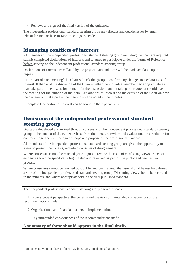• Reviews and sign off the final version of the guidance.

The independent professional standard steering group may discuss and decide issues by email, teleconference, or face-to-face, meetings as needed.

## <span id="page-7-1"></span>Managing conflicts of interest

All members of the independent professional standard steering group including the chair are required submit completed declarations of interests and to agree to participate under the Terms of Reference before serving on the independent professional standard steering group.

Declarations of Interest are collated by the project team and these will be made available upon request.

<span id="page-7-2"></span>At the start of each meeting<sup>[1](#page-7-3)</sup> the Chair will ask the group to confirm any changes to Declarations of Interest. It then is at the discretion of the Chair whether the individual member declaring an interest may take part in the discussion, remain for the discussion, but not take part or vote, or should leave the meeting for the duration of the item. Declarations of Interest and the decision of the Chair on how the declarer will take part in the meeting will be noted in the minutes.

A template Declaration of Interest can be found in the Appendix B.

## <span id="page-7-0"></span>Decisions of the independent professional standard steering group

Drafts are developed and refined through consensus of the independent professional standard steering group in the context of the evidence-base from the literature review and evaluation, the circulation for comment together with the agreed scope and purpose of the professional standard.

All members of the independent professional standard steering group are given the opportunity to speak to present their views, including on issues of disagreement.

Where consensus cannot be reached prior to public review the issue of conflicting views or lack of evidence should be specifically highlighted and reviewed as part of the public and peer review process.

Where consensus cannot be reached post public and peer review, the issue should be resolved through a vote of the independent professional standard steering group. Dissenting views should be recorded in the minutes, and where appropriate within the final published standard.

The independent professional standard steering group should discuss:

 1. From a patient perspective, the benefits and the risks or unintended consequences of the recommendations made

2. Organisational and financial barriers to implementation

3. Any unintended consequences of the recommendations made.

A summary of these should appear in the final draft.

<span id="page-7-3"></span><sup>&</sup>lt;sup>[1](#page-7-2)</sup> Meetings may not be face-to-face: may be Skype, email consultation tec.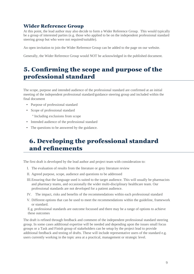## <span id="page-8-2"></span>Wider Reference Group

At this point, the lead author may also decide to form a Wider Reference Group. This would typically be a group of interested parties (e.g. those who applied to be on the independent professional standard steering group but who were not required/suitable).

An open invitation to join the Wider Reference Group can be added to the page on our website.

Generally, the Wider Reference Group would NOT be acknowledged in the published document.

## <span id="page-8-1"></span>5. Confirming the scope and purpose of the professional standard

The scope, purpose and intended audience of the professional standard are confirmed at an initial meeting of the independent professional standard/guidance steering group and included within the final document

- Purpose of professional standard
- Scope of professional standard
	- º Including exclusions from scope
- Intended audience of the professional standard
- The questions to be answered by the guidance.

## <span id="page-8-0"></span>6. Developing the professional standard and refinements

The first draft is developed by the lead author and project team with consideration to:

- I. The evaluation of results from the literature or grey literature review
- II. Agreed purpose, scope, audience and questions to be addressed
- III.Ensuring that the language used is suited to the target audience. This will usually be pharmacists and pharmacy teams, and occasionally the wider multi-disciplinary healthcare team. Our professional standards are not developed for a patient audience.
- IV. The impact, risks and benefits of the recommendations within each professional standard
- V. Different options that can be used to meet the recommendations within the guideline, framework or standard.

E.g. professional standards are outcome focussed and there may be a range of options to achieve these outcomes

The draft is refined through feedback and comment of the independent professional standard steering group. In some cases additional expertise will be needed and depending upon the issues small focus groups or a Task and Finish group of stakeholders can be setup by the project lead to provide additional feedback and testing of drafts. These will include representative users of the standard e.g. users currently working in the topic area at a practical, management or strategic level.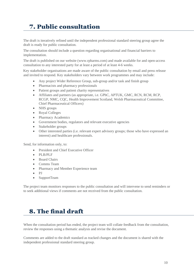# <span id="page-9-1"></span>7. Public consultation

The draft is iteratively refined until the independent professional standard steering group agree the draft is ready for public consultation.

The consultation should include a question regarding organisational and financial barriers to implementation.

The draft is published on our website (www.rpharms.com) and made available for and open-access consultation to any interested party for at least a period of at least 4-6 weeks.

Key stakeholder organisations are made aware of the public consultation by email and press release and invited to respond. Key stakeholders vary between work programmes and may include:

- Any project Wider Reference Group, sub-group and/or task and finish group
- Pharmacists and pharmacy professionals
- Patient groups and patient charity representatives
- Affiliates and partners (as appropriate, i.e. GPhC, APTUK, GMC, RCN, RCM, RCP, RCGP, NMC, CQC, Health Improvement Scotland, Welsh Pharmaceutical Committee, Chief Pharmaceutical Officers)
- NHS groups
- Royal Colleges
- Pharmacy Academics
- Government bodies, regulators and relevant executive agencies
- Stakeholder groups
- Other interested parties (i.e. relevant expert advisory groups; those who have expressed an interest) and healthcare professionals.

Send, for information only, to:

- President and Chief Executive Officer
- $\bullet$  PLB/PLF
- Board Chairs
- Comms Team
- Pharmacy and Member Experience team
- PJ
- SupportTeam

The project team monitors responses to the public consultation and will intervene to send reminders or to seek additional views if comments are not received from the public consultation.

## <span id="page-9-0"></span>8. The final draft

When the consultation period has ended, the project team will collate feedback from the consultation, review the responses using a thematic analysis and revise the document.

Comments are added to the draft standard as tracked changes and the document is shared with the independent professional standard steering group.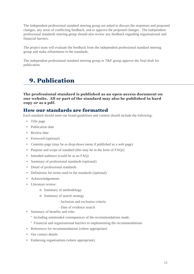The independent professional standard steering group are asked to discuss the responses and proposed changes, any areas of conflicting feedback, and to approve the proposed changes. The independent professional standards steering group should also review any feedback regarding organisational and financial barriers.

The project team will evaluate the feedback from the independent professional standard steering group and make refinements to the standards.

The independent professional standard steering group or T&F group approve the final draft for publication.

## <span id="page-10-1"></span>9. Publication

The professional standard is published as an open-access document on our website. All or part of the standard may also be published in hard copy or as a pdf.

### <span id="page-10-0"></span>How our standards are formatted

Each standard should meet our brand guidelines and content should include the following:

- Title page
- Publication date
- Review date
- Foreword (optional)
- Contents page (may be as drop-down menu if published as a web page)
- Purpose and scope of standard (this may be in the form of FAQs)
- Intended audience (could be as an FAQ)
- Summary of professional standards (optional)
- Detail of professional standards
- Definitions for terms used in the standards (optional)
- Acknowledgements
- Literature review:
	- o Summary of methodology
	- o Summary of search strategy
		- Inclusion and exclusion criteria
		- Date of evidence search
- Summary of benefits and risks
	- º Including unintended consequences of the recommendations made.
	- º Financial and organisational barriers to implementing the recommendations
- References for recommendations (where appropriate)
- Our contact details
- Endorsing organisations (where appropriate).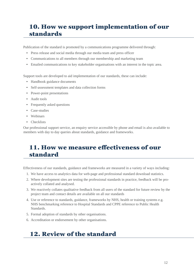## <span id="page-11-2"></span>10. How we support implementation of our standards

Publication of the standard is promoted by a communications programme delivered through:

- Press release and social media through our media team and press officer
- Communications to all members through our membership and marketing team
- Emailed communications to key stakeholder organisations with an interest in the topic area.

Support tools are developed to aid implementation of our standards, these can include:

- Handbook guidance documents
- Self-assessment templates and data collection forms
- Power-point presentations
- Audit tools
- Frequently asked questions
- Case-studies
- Webinars
- Checklists

Our professional support service, an enquiry service accessible by phone and email is also available to members with day to day queries about standards, guidance and frameworks.

## <span id="page-11-1"></span>11. How we measure effectiveness of our standard

Effectiveness of our standards, guidance and frameworks are measured in a variety of ways including:

- 1. We have access to analytics data for web-page and professional standard download statistics.
- 2. Where development sites are testing the professional standards in practice, feedback will be proactively collated and analysed.
- 3. We reactively collates qualitative feedback from all users of the standard for future review by the project team and contact details are available on all our standards
- 4. Use or reference to standards, guidance, frameworks by NHS, health or training systems e.g. NHS benchmarking reference to Hospital Standards and CPPE reference to Public Health Standards.
- 5. Formal adoption of standards by other organisations.
- 6. Accreditation or endorsement by other organisations.

## <span id="page-11-0"></span>12. Review of the standard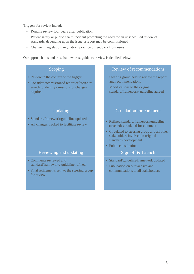Triggers for review include:

- Routine review four years after publication.
- Patient safety or public health incident prompting the need for an unscheduled review of standards, depending upon the issue, a report may be commissioned
- Change in legislation, regulation, practice or feedback from users

Our approach to standards, frameworks, guidance review is detailed below:

- Review in the context of the trigger
- Consider commissioned report or literature search to identify omissions or changes required

- Standard/framework/guideline updated
- All changes tracked to facilitate review

### Reviewing and updating The Sign off & Launch

- Comments reviewed and standard/framework/ guideline refined
- Final refinements sent to the steering group for review

### Scoping **Review of recommendations**

- Steering group held to review the report and recommendations
- Modifications to the original standard/framework/ guideline agreed

### Updating Circulation for comment

- Refined standard/framework/guideline (tracked) circulated for comment
- Circulated to steering group and all other stakeholders involved in original standards development
- Public consultation

- Standard/guideline/framework updated
- Publication on our website and communications to all stakeholders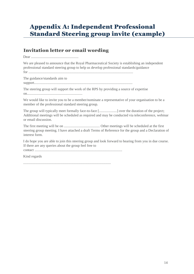## <span id="page-13-0"></span>Appendix A: Independent Professional Standard Steering group invite (example)

## Invitation letter or email wording

Dear .....................................................

We are pleased to announce that the Royal Pharmaceutical Society is establishing an independent professional standard steering group to help us develop professional standards/guidance for .....................................................................................................................

The guidance/standards aim to

support..............................................................................................................

The steering group will support the work of the RPS by providing a source of expertise on..............................................................

We would like to invite you to be a member/nominate a representative of your organisation to be a member of the professional standard steering group.

The group will typically meet formally face-to-face [....................] over the duration of the project; Additional meetings will be scheduled as required and may be conducted via teleconference, webinar or email discussion.

The first meeting will be on ........................................ Other meetings will be scheduled at the first steering group meeting. I have attached a draft Terms of Reference for the group and a Declaration of interest form.

I do hope you are able to join this steering group and look forward to hearing from you in due course. If there are any queries about the group feel free to

contact ..................................................................................................

Kind regards

..................................................................................................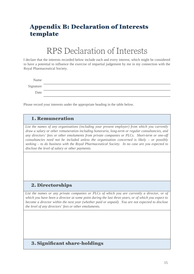## <span id="page-14-0"></span>Appendix B: Declaration of Interests template

# RPS Declaration of Interests

I declare that the interests recorded below include each and every interest, which might be considered to have a potential to influence the exercise of impartial judgement by me in my connection with the Royal Pharmaceutical Society.

| Name      |  |
|-----------|--|
| Signature |  |
| Date      |  |

Please record your interests under the appropriate heading in the table below.

### 1. Remuneration

*List the names of any organisations (including your present employer) from which you currently draw a salary or other remuneration including honoraria, long-term or regular consultancies, and any directors' fees or other emoluments from private companies or PLCs. Short-term or one-off consultancies need not be included unless the organisation concerned is likely – or possibly seeking – to do business with the Royal Pharmaceutical Society. In no case are you expected to disclose the level of salary or other payments.*

### 2. Directorships

*List the names or any private companies or PLCs of which you are currently a director, or of which you have been a director at some point during the last three years, or of which you expect to become a director within the next year (whether paid or unpaid). You are not expected to disclose the level of any directors' fees or other emoluments.*

### 3. Significant share-holdings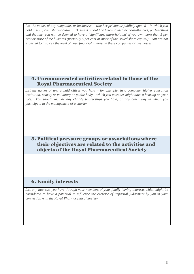*List the names of any companies or businesses – whether private or publicly-quoted – in which you hold a significant share-holding. 'Business' should be taken to include consultancies, partnerships and the like; you will be deemed to have a 'significant share-holding' if you own more than 5 per cent or more of the business (normally 5 per cent or more of the issued share capital). You are not expected to disclose the level of your financial interest in these companies or businesses.*

### 4. Unremunerated activities related to those of the Royal Pharmaceutical Society

*List the names of any unpaid offices you hold – for example, in a company, higher education institution, charity or voluntary or public body – which you consider might have a bearing on your role. You should include any charity trusteeships you hold, or any other way in which you participate in the management of a charity.*

### 5. Political pressure groups or associations where their objectives are related to the activities and objects of the Royal Pharmaceutical Society

## 6. Family interests

*List any interests you have through your members of your family having interests which might be considered to have a potential to influence the exercise of impartial judgement by you in your connection with the Royal Pharmaceutical Society.*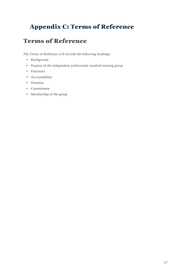# <span id="page-16-0"></span>Appendix C: Terms of Reference

## Terms of Reference

The Terms of Reference will include the following headings:

- Background
- Purpose of the independent professional standard steering group
- Functions
- Accountability
- Duration
- Commitment
- Membership of the group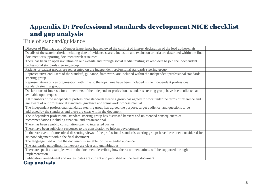## Appendix D: Professional standards development NICE checklist and gap analysis

## Title of standard/guidance

| Director of Pharmacy and Member Experience has reviewed the conflict of interest declaration of the lead author/chair             |
|-----------------------------------------------------------------------------------------------------------------------------------|
| Details of the search criteria including date of evidence search, inclusion and exclusion criteria are described within the final |
| document or supporting documents/web resources                                                                                    |
| There has been an open invitation on our website and through social media inviting stakeholders to join the independent           |
| professional standards steering group                                                                                             |
| Patients or patient groups are represented on the independent professional standards steering group                               |
| Representative end-users of the standard, guidance, framework are included within the independent professional standards          |
| steering group                                                                                                                    |
| Representatives of key organisation with links to the topic area have been included in the independent professional               |
| standards steering group                                                                                                          |
| Declarations of interests for all members of the independent professional standards steering group have been collected and        |
| available upon request                                                                                                            |
| All members of the independent professional standards steering group has agreed to work under the terms of reference and          |
| are aware of our professional standards, guidance and framework process manual                                                    |
| The independent professional standards steering group has agreed the purpose, target audience, and questions to be                |
| addressed by the standards and these are clear within the document                                                                |
| The independent professional standard steering group has discussed barriers and unintended consequences of                        |
| recommendations including financial and organisational                                                                            |
| There has been a public consultation open to interested parties                                                                   |
| There have been sufficient responses to the consultation to inform development                                                    |
| In the rare event of unresolved dissenting views of the professional standards steering group: have these been considered for     |
| acknowledgement within the final document.                                                                                        |
| The language used within the document is suitable for the intended audience                                                       |
| The standards, guidelines, framework are clear and unambiguous                                                                    |
| There are specific examples within the document describing how the recommendations will be supported through                      |
| implementation                                                                                                                    |
| Publication, amendment and review dates are current and published on the final document                                           |

### <span id="page-17-1"></span><span id="page-17-0"></span>Gap analysis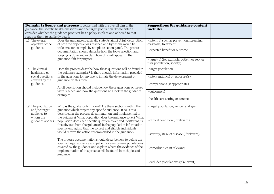| requires them to explicitly detail:                            | <b>Domain 1: Scope and purpose</b> is concerned with the overall aim of the<br>guidance, the specific health questions and the target population. These criteria<br>consider whether the guidance producer has a policy in place and adhered to that                                                               | <b>Suggestions for guidance content</b><br>include:                       |  |
|----------------------------------------------------------------|--------------------------------------------------------------------------------------------------------------------------------------------------------------------------------------------------------------------------------------------------------------------------------------------------------------------|---------------------------------------------------------------------------|--|
| 1.1 The overall<br>objective of the                            | Does the guidance specifically state its aims? A full description<br>of how the objective was reached and by whom would be<br>welcome, for example by a topic selection panel. The process<br>documentation should describe how the topic selection and<br>scoping is done and explain how this will appear in the | $\cdot$ intent(s) such as prevention, screening,<br>diagnosis, treatment  |  |
| guidance                                                       |                                                                                                                                                                                                                                                                                                                    | · expected benefit or outcome                                             |  |
|                                                                | guidance if fit for purpose.                                                                                                                                                                                                                                                                                       | • target(s) (for example, patient or service<br>user population, society) |  |
| 1.4 The clinical,<br>healthcare or                             | Does the process describe how these questions will be found in<br>the guidance examples? Is there enough information provided                                                                                                                                                                                      | • target population                                                       |  |
| social questions<br>covered by the                             | in the questions for anyone to initiate the development of<br>guidance on this topic?<br>A full description should include how these questions or issues                                                                                                                                                           | $\cdot$ intervention(s) or exposure(s)                                    |  |
| guidance                                                       |                                                                                                                                                                                                                                                                                                                    | · comparisons (if appropriate)                                            |  |
|                                                                | were reached and how the questions will look in the guidance<br>examples.                                                                                                                                                                                                                                          | $\bullet$ outcome(s)                                                      |  |
|                                                                |                                                                                                                                                                                                                                                                                                                    | • health care setting or context                                          |  |
| 1.9 The population<br>and/or target<br>audience to<br>whom the | Who is the guidance to inform? Are there sections within the<br>guidance which targets any specific audience? If so is this<br>described in the process documentation and implemented in<br>the guidance? What population does the guidance cover? What                                                            | • target population, gender and age                                       |  |
| guidance applies                                               | population does each specific question cover and if different, is<br>this obvious from the guidance? Is the population information<br>specific enough so that the correct and eligible individuals                                                                                                                 | · clinical condition (if relevant)                                        |  |
|                                                                | would receive the action recommended in the guidance?<br>The process documentation should describe how to define the                                                                                                                                                                                               | • severity/stage of disease (if relevant)                                 |  |
|                                                                | specific target audience and patient or service user populations<br>covered by the guidance and explain where the evidence of the                                                                                                                                                                                  |                                                                           |  |
|                                                                | implementation of this process will be found in each piece of<br>guidance.                                                                                                                                                                                                                                         | • comorbidities (if relevant)                                             |  |
|                                                                |                                                                                                                                                                                                                                                                                                                    | • excluded populations (if relevant)                                      |  |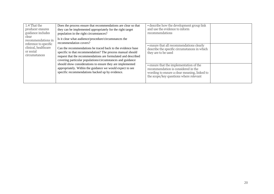| 1.4 That the<br>producer ensures<br>guidance includes                       | Does the process ensure that recommendations are clear so that<br>they can be implemented appropriately for the right target<br>population in the right circumstances?                                                                                   | • describe how the development group link<br>and use the evidence to inform<br>recommendations                                                                           |  |
|-----------------------------------------------------------------------------|----------------------------------------------------------------------------------------------------------------------------------------------------------------------------------------------------------------------------------------------------------|--------------------------------------------------------------------------------------------------------------------------------------------------------------------------|--|
| clear<br>recommendations in                                                 | Is it clear what audience/procedure/circumstances the<br>recommendation covers?                                                                                                                                                                          |                                                                                                                                                                          |  |
| reference to specific<br>clinical, healthcare<br>or social<br>circumstances | Can the recommendations be traced back to the evidence base<br>specific to that recommendation? The process manual should<br>request that the recommendations are formulated and described<br>covering particular populations/circumstances and guidance | • ensure that all recommendations clearly<br>describe the specific circumstances in which<br>they are to be used                                                         |  |
|                                                                             | should show considerations to ensure they are implemented<br>appropriately. Within the guidance we would expect to see<br>specific recommendations backed up by evidence.                                                                                | • ensure that the implementation of the<br>recommendation is considered in the<br>wording to ensure a clear meaning, linked to<br>the scope/key questions where relevant |  |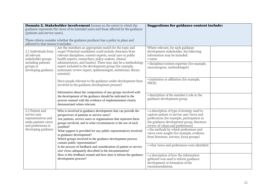| <b>Domain 2. Stakeholder involvement</b> focuses on the extent to which the<br>guidance represents the views of its intended users and those affected by the guidance<br>(patients and service users).<br>These criteria consider whether the guidance producer has a policy in place and<br>adhered to that means it includes: |                                                                                                                                                                                                                                                                                                                                                                                                                                                                                                                                     | <b>Suggestions for guidance content include:</b>                                                                                                                                                                                                                                                                                                                                                           |  |
|---------------------------------------------------------------------------------------------------------------------------------------------------------------------------------------------------------------------------------------------------------------------------------------------------------------------------------|-------------------------------------------------------------------------------------------------------------------------------------------------------------------------------------------------------------------------------------------------------------------------------------------------------------------------------------------------------------------------------------------------------------------------------------------------------------------------------------------------------------------------------------|------------------------------------------------------------------------------------------------------------------------------------------------------------------------------------------------------------------------------------------------------------------------------------------------------------------------------------------------------------------------------------------------------------|--|
| 2.1 Individuals from<br>all relevant<br>stakeholder groups<br>including patients<br>groups in<br>developing guidance                                                                                                                                                                                                            | Are the members an appropriate match for the topic and<br>scope? Potential candidates could include clinicians from<br>relevant disciplines, content experts, social care or public<br>health experts, researchers, policy makers, clinical<br>administrators, and funders. There may also be a methodology<br>expert included in the development group (for example,<br>systematic review expert, epidemiologist, statistician, library<br>scientist).                                                                             | Where relevant, for each guidance<br>development stakeholder, the following<br>information may be included:<br>• name<br>· discipline/content expertise (for example;<br>neurosurgeon, methodologist)                                                                                                                                                                                                      |  |
|                                                                                                                                                                                                                                                                                                                                 | Have people relevant to the guidance under development been<br>involved in the guidance development process?<br>Information about the composition of any groups involved with<br>the development of the guidance should be indicated in the<br>process manual with the evidence of implementation clearly<br>demonstrated where relevant.                                                                                                                                                                                           | · institution or affiliation (for example,<br>NICE)<br>· description of the member's role in the<br>guidance development group                                                                                                                                                                                                                                                                             |  |
| 2.2 Patient and<br>service user<br>representatives and<br>seeks patients views<br>and preferences in<br>developing guidance                                                                                                                                                                                                     | Who is involved in guidance development that can provide the<br>perspectives of patients or service users?<br>Are patients, service users or organisations that represent these<br>groups involved, and in what circumstances is the use of each<br>justified?<br>What support is provided for any public representatives involved<br>in guidance development?<br>Which groups involved in the guidance development process<br>contain public representation?<br>Is the process of feedback and consideration of patient or service | • a description of type of strategy used to<br>capture patient or service user views and<br>preferences (for example, participation in<br>the guidance development group, literature<br>review of values and preferences)<br>• the methods by which preferences and<br>views were sought (for example, evidence<br>from literature, surveys, focus groups)<br>• what views and preferences were identified |  |
|                                                                                                                                                                                                                                                                                                                                 | user views adequately described in the documentation?<br>How is this feedback treated and how does it inform the guidance<br>development process?                                                                                                                                                                                                                                                                                                                                                                                   | • a description of how the information<br>gathered was used to inform guidance<br>development or formation of the<br>recommendations.                                                                                                                                                                                                                                                                      |  |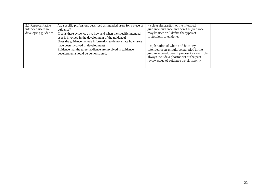| 2.3 Representative<br>intended users in<br>developing guidance | Are specific professions described as intended users for a piece of<br>guidance?<br>If so is there evidence as to how and when the specific intended<br>user is involved in the development of the guidance?<br>Does the guidance include information to demonstrate how users | • a clear description of the intended<br>guidance audience and how the guidance<br>may be used will define the types of<br>professions to evidence                                                              |  |
|----------------------------------------------------------------|--------------------------------------------------------------------------------------------------------------------------------------------------------------------------------------------------------------------------------------------------------------------------------|-----------------------------------------------------------------------------------------------------------------------------------------------------------------------------------------------------------------|--|
|                                                                | have been involved in development?<br>Evidence that the target audience are involved in guidance<br>development should be demonstrated.                                                                                                                                        | • explanation of when and how any<br>intended users should be included in the<br>guidance development process (for example,<br>always include a pharmacist at the peer<br>review stage of guidance development) |  |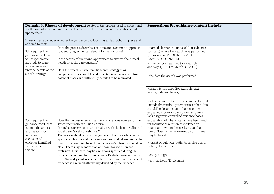| <b>Domain 3. Rigour of development</b> relates to the process used to gather and<br>synthesise information and the methods used to formulate recommendations and<br>update them.<br>These criteria consider whether the guidance producer has a clear policy in place and |                                                                                                                                                                                                                                                                                                                                                                                                                 | <b>Suggestions for guidance content include:</b>                                                                                                                                                                               |  |
|---------------------------------------------------------------------------------------------------------------------------------------------------------------------------------------------------------------------------------------------------------------------------|-----------------------------------------------------------------------------------------------------------------------------------------------------------------------------------------------------------------------------------------------------------------------------------------------------------------------------------------------------------------------------------------------------------------|--------------------------------------------------------------------------------------------------------------------------------------------------------------------------------------------------------------------------------|--|
| adhered to that:                                                                                                                                                                                                                                                          |                                                                                                                                                                                                                                                                                                                                                                                                                 |                                                                                                                                                                                                                                |  |
| 3.1 Requires the<br>guidance producer<br>to use systematic                                                                                                                                                                                                                | Does the process describe a routine and systematic approach<br>to identifying evidence relevant to the guidance?<br>Is the search relevant and appropriate to answer the clinical,<br>health or social care question?<br>Does the process ensure that the search strategy is as<br>comprehensive as possible and executed in a manner free from<br>potential biases and sufficiently detailed to be replicated? | · named electronic database(s) or evidence<br>source(s) where the search was performed<br>(for example, MEDLINE, EMBASE,<br>PsychINFO, CINAHL)                                                                                 |  |
| methods to search<br>for evidence and<br>provide details of the<br>search strategy                                                                                                                                                                                        |                                                                                                                                                                                                                                                                                                                                                                                                                 | • time periods searched (for example,<br>January 1, 2004 to March 31, 2008)                                                                                                                                                    |  |
|                                                                                                                                                                                                                                                                           |                                                                                                                                                                                                                                                                                                                                                                                                                 | • the date the search was performed                                                                                                                                                                                            |  |
|                                                                                                                                                                                                                                                                           |                                                                                                                                                                                                                                                                                                                                                                                                                 | • search terms used (for example, text<br>words, indexing terms)                                                                                                                                                               |  |
|                                                                                                                                                                                                                                                                           |                                                                                                                                                                                                                                                                                                                                                                                                                 | • where searches for evidence are performed<br>outside the routine systematic searches, this<br>should be described and the reasoning<br>explained (for example, some disciplines<br>lack a rigorous controlled evidence base) |  |
| 3.2 Requires the<br>guidance producers<br>to state the criteria<br>and reasons for<br>inclusion or<br>exclusion of                                                                                                                                                        | Does the process ensure that there is a rationale given for the<br>stated inclusion/exclusion criteria?<br>Do inclusion/exclusion criteria align with the health/clinical/<br>social care /safety question(s)?<br>The process should ensure that guidance describes when and why                                                                                                                                | explanation of what criteria have been used<br>for inclusion/exclusion of evidence or<br>reference to where these criteria can be<br>found. Specific inclusion/exclusion criteria<br>may be based on:                          |  |
| evidence identified<br>by the evidence<br>review                                                                                                                                                                                                                          | specific exclusions and inclusions are used and where this can be<br>found. The reasoning behind the inclusions/exclusions should be<br>clear. There may be more than one point for inclusion and<br>exclusion. First there may be exclusions specified during the                                                                                                                                              | • target population (patients service users,<br>public) characteristics                                                                                                                                                        |  |
|                                                                                                                                                                                                                                                                           | evidence searching, for example, only English language studies                                                                                                                                                                                                                                                                                                                                                  | · study design                                                                                                                                                                                                                 |  |
|                                                                                                                                                                                                                                                                           | used. Secondly evidence should be provided as to why a piece of<br>evidence is excluded after being identified by the evidence                                                                                                                                                                                                                                                                                  | • comparisons (if relevant)                                                                                                                                                                                                    |  |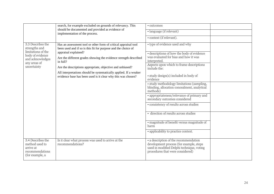|                                                                                                                                 | search, for example excluded on grounds of relevancy. This                                                                                                                                                                                                                                                                                                                                                                                 | • outcomes                                                                                                                                                                                                                                                                                                                                                                                                                                                                                                                                                                                                                         |  |
|---------------------------------------------------------------------------------------------------------------------------------|--------------------------------------------------------------------------------------------------------------------------------------------------------------------------------------------------------------------------------------------------------------------------------------------------------------------------------------------------------------------------------------------------------------------------------------------|------------------------------------------------------------------------------------------------------------------------------------------------------------------------------------------------------------------------------------------------------------------------------------------------------------------------------------------------------------------------------------------------------------------------------------------------------------------------------------------------------------------------------------------------------------------------------------------------------------------------------------|--|
|                                                                                                                                 | should be documented and provided as evidence of<br>implementation of the process.                                                                                                                                                                                                                                                                                                                                                         | • language (if relevant)                                                                                                                                                                                                                                                                                                                                                                                                                                                                                                                                                                                                           |  |
|                                                                                                                                 |                                                                                                                                                                                                                                                                                                                                                                                                                                            | • context (if relevant).                                                                                                                                                                                                                                                                                                                                                                                                                                                                                                                                                                                                           |  |
| 3.3 Describes the<br>strengths and<br>limitations of the<br>body of evidence<br>and acknowledges<br>any areas of<br>uncertainty | Has an assessment tool or other form of critical appraisal tool<br>been used and if so is this fit for purpose and the choice of<br>appraisal explained?<br>Are the different grades showing the evidence strength described<br>in full?<br>Are the descriptions appropriate, objective and unbiased?<br>All interpretations should be systematically applied. If a weaker<br>evidence base has been used is it clear why this was chosen? | • type of evidence used and why<br>• descriptions of how the body of evidence<br>was evaluated for bias and how it was<br>interpreted.<br>Aspects upon which to frame descriptions<br>include the:<br>• study design(s) included in body of<br>evidence<br>• study methodology limitations (sampling,<br>blinding, allocation concealment, analytical<br>methods)<br>• appropriateness/relevance of primary and<br>secondary outcomes considered<br>• consistency of results across studies<br>· direction of results across studies<br>• magnitude of benefit versus magnitude of<br>harm<br>• applicability to practice context. |  |
| 3.4 Describes the<br>method used to<br>arrive at<br>recommendations<br>(for example, a                                          | Is it clear what process was used to arrive at the<br>recommendations?                                                                                                                                                                                                                                                                                                                                                                     | • a description of the recommendation<br>development process (for example, steps<br>used in modified Delphi technique, voting<br>procedures that were considered)                                                                                                                                                                                                                                                                                                                                                                                                                                                                  |  |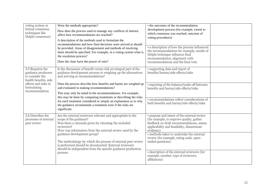| voting system or<br>formal consensus<br>techniques like<br>Delphi consensus)                                                                | Were the methods appropriate?<br>How does the process used to manage any conflicts of interest<br>affect how recommendations are reached?<br>A description of the methods used to formulate the<br>recommendations and how final decisions were arrived at should<br>be provided. Areas of disagreement and methods of resolving<br>them should be specified. For example, in a voting system what is<br>the resolution process?<br>Does the chair have the power of veto?                                                                                              | • the outcomes of the recommendation<br>development process (for example, extent to<br>which consensus was reached, outcome of<br>voting procedures)<br>• a description of how the process influenced<br>the recommendations for example, results of<br>Delphi technique influence final<br>recommendation, alignment with<br>recommendations and the final vote.                                                    |  |
|---------------------------------------------------------------------------------------------------------------------------------------------|-------------------------------------------------------------------------------------------------------------------------------------------------------------------------------------------------------------------------------------------------------------------------------------------------------------------------------------------------------------------------------------------------------------------------------------------------------------------------------------------------------------------------------------------------------------------------|----------------------------------------------------------------------------------------------------------------------------------------------------------------------------------------------------------------------------------------------------------------------------------------------------------------------------------------------------------------------------------------------------------------------|--|
| 3.5 Requires the<br>guidance producers<br>to consider the<br>health benefits, side<br>effects and risks in<br>formulating<br>recommendation | Is the discussion of benefit versus risk an integral part of the<br>guidance development process in weighing up the alternatives<br>and arriving at recommendations?<br>Does the process describe how benefits and harms are weighed up<br>and evaluated in making recommendations?<br>This may only be noted in the recommendations. For example,<br>this may be done by comparing treatments or describing the risks<br>for each treatment considered or simply an explanation as to why<br>the guidance recommends a treatment even if the risks are<br>significant. | • supporting data and report of<br>benefits/harms/side effects/risks<br>• reporting of the balance/trade-off between<br>benefits and harms/side effects/risks<br>• recommendations reflect considerations of<br>both benefits and harms/side effects/risks                                                                                                                                                           |  |
| 3.6 Describes the<br>processes of external<br>peer review                                                                                   | Are the external reviewers relevant and appropriate to the<br>scope of the guidance?<br>Was there a rationale given for choosing the included<br>reviewers?<br>How was information from the external review used by the<br>guidance development group?<br>The methodology by which the process of external peer review<br>is performed should be documented. External reviewers<br>should be independent from the specific guidance production<br>process.                                                                                                              | • purpose and intent of the external review<br>(for example, to improve quality, gather<br>feedback on draft recommendations, assess<br>applicability and feasibility, disseminate<br>evidence)<br>· methods taken to undertake the external<br>review (for example, rating scale, open-<br>ended questions)<br>• description of the external reviewers (for<br>example, number, type of reviewers,<br>affiliations) |  |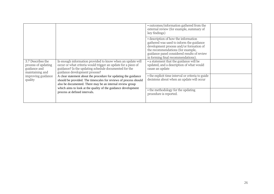|                                                                             |                                                                                                                                                                                                                       | • outcomes/information gathered from the<br>external review (for example, summary of<br>key findings)                                                                                                                                                 |  |
|-----------------------------------------------------------------------------|-----------------------------------------------------------------------------------------------------------------------------------------------------------------------------------------------------------------------|-------------------------------------------------------------------------------------------------------------------------------------------------------------------------------------------------------------------------------------------------------|--|
|                                                                             |                                                                                                                                                                                                                       | • description of how the information<br>gathered was used to inform the guidance<br>development process and/or formation of<br>the recommendations (for example,<br>guidance panel considered results of review<br>in forming final recommendations). |  |
| 3.7 Describes the<br>process of updating<br>guidance and<br>maintaining and | Is enough information provided to know when an update will<br>occur or what criteria would trigger an update for a piece of<br>guidance? Is the updating schedule documented for the<br>guidance development process? | • a statement that the guidance will be<br>updated, and a description of what would<br>cause an update                                                                                                                                                |  |
| improving guidance<br>quality                                               | A clear statement about the procedure for updating the guidance<br>should be provided. The timescales for reviews of process should<br>also be documented. There may be an internal review group                      | • the explicit time interval or criteria to guide<br>decisions about when an update will occur                                                                                                                                                        |  |
|                                                                             | which aims to look at the quality of the guidance development<br>process at defined intervals.                                                                                                                        | • the methodology for the updating<br>procedure is reported.                                                                                                                                                                                          |  |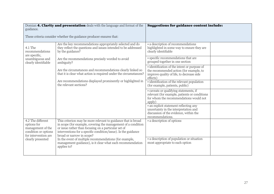| Domian 4. Clarity and presentation deals with the language and format of the<br>guidance.             |                                                                                                                                                                                                                                                                                       | <b>Suggestions for guidance content include:</b>                                                                                                 |  |
|-------------------------------------------------------------------------------------------------------|---------------------------------------------------------------------------------------------------------------------------------------------------------------------------------------------------------------------------------------------------------------------------------------|--------------------------------------------------------------------------------------------------------------------------------------------------|--|
|                                                                                                       | These criteria consider whether the guidance producer ensures that:                                                                                                                                                                                                                   |                                                                                                                                                  |  |
| 4.1 The<br>recommendations<br>are specific,                                                           | Are the key recommendations appropriately selected and do<br>they reflect the questions and issues intended to be addressed<br>by the guidance?                                                                                                                                       | • a description of recommendations<br>highlighted in some way to ensure they are<br>clearly identifiable                                         |  |
| unambiguous and<br>clearly identifiable                                                               | Are the recommendations precisely worded to avoid<br>ambiguity?                                                                                                                                                                                                                       | · specific recommendations that are<br>grouped together in one section                                                                           |  |
|                                                                                                       | Are the circumstances and recommendations clearly linked so<br>that it is clear what action is required under the circumstances?                                                                                                                                                      | · identification of the intent or purpose of<br>the recommended action (for example, to<br>improve quality of life, to decrease side<br>effects) |  |
|                                                                                                       | Are recommendations displayed prominently or highlighted in<br>the relevant sections?                                                                                                                                                                                                 | · identification of the relevant population<br>(for example, patients, public)                                                                   |  |
|                                                                                                       |                                                                                                                                                                                                                                                                                       | · caveats or qualifying statements, if<br>relevant (for example, patients or conditions<br>for whom the recommendations would not<br>apply)      |  |
|                                                                                                       |                                                                                                                                                                                                                                                                                       | • an explicit statement reflecting any<br>uncertainty in the interpretation and<br>discussion of the evidence, within the<br>recommendations.    |  |
| 4.2 The different<br>options for<br>management of the<br>condition or options<br>for intervention are | This criterion may be more relevant to guidance that is broad<br>in scope (for example, covering the management of a condition<br>or issue rather than focusing on a particular set of<br>interventions for a specific condition/issue). Is the guidance<br>broad or narrow in scope? | • a description of options                                                                                                                       |  |
| clearly presented                                                                                     | In the event of multiple recommendations (for example,<br>management guidance), is it clear what each recommendation<br>applies to?                                                                                                                                                   | • a description of population or situation<br>most appropriate to each option                                                                    |  |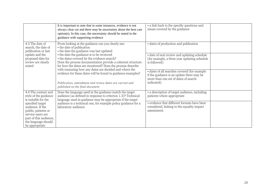|                                                                                                                                                                                                                                                                                                                                                                                                                                                                                                                                                                                                                                                      | It is important to note that in some instances, evidence is not<br>always clear cut and there may be uncertainty about the best care<br>option(s). In this case, the uncertainty should be stated in the<br>guidance with supporting evidence | • a link back to the specific questions and<br>issues covered by the guidance                               |  |
|------------------------------------------------------------------------------------------------------------------------------------------------------------------------------------------------------------------------------------------------------------------------------------------------------------------------------------------------------------------------------------------------------------------------------------------------------------------------------------------------------------------------------------------------------------------------------------------------------------------------------------------------------|-----------------------------------------------------------------------------------------------------------------------------------------------------------------------------------------------------------------------------------------------|-------------------------------------------------------------------------------------------------------------|--|
| 4.3 The date of<br>From looking at the guidance can you clearly see:<br>• the date of publication<br>search, the date of<br>• the date the guidance was last updated<br>publication or last<br>• the date the guidance is to be reviewed<br>update and the<br>• the dates covered by the evidence search?<br>proposed date for<br>review are clearly<br>for how the dates are monitored? Does the process describe<br>stated<br>with reasoning how any dates are decided and where the<br>evidence for these dates will be found in guidance examples?<br>Publication, amendment and review dates are current and<br>published on the final document | Does the process documentation provide a coherent structure                                                                                                                                                                                   | • dates of production and publication                                                                       |  |
|                                                                                                                                                                                                                                                                                                                                                                                                                                                                                                                                                                                                                                                      |                                                                                                                                                                                                                                               | • date of next review and updating schedule<br>(for example, a three year updating schedule<br>is followed) |  |
|                                                                                                                                                                                                                                                                                                                                                                                                                                                                                                                                                                                                                                                      | • dates of all searches covered (for example<br>if the guidance is an update there may be<br>more than one set of dates of search<br>indicated).                                                                                              |                                                                                                             |  |
| 4.4 The content and<br>Does the language used in the guidance match the target<br>audience (as defined in response to criterion 1.3)? Technical<br>style of the guidance<br>is suitable for the<br>language used in guidance may be appropriate if the target                                                                                                                                                                                                                                                                                                                                                                                        | • a description of target audience, including<br>patients where appropriate                                                                                                                                                                   |                                                                                                             |  |
| specified target<br>audience. If the<br>public, patients or<br>service users are<br>part of this audience,<br>the language should<br>be appropriate                                                                                                                                                                                                                                                                                                                                                                                                                                                                                                  | audience is a technical one, for example policy guidance for a<br>laboratory audience.                                                                                                                                                        | • evidence that different formats have been<br>considered, linking to the equality impact<br>assessment.    |  |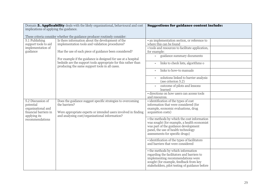|                                        | Domain 5. Applicability deals with the likely organisational, behavioural and cost                               | <b>Suggestions for guidance content include:</b>                                 |  |
|----------------------------------------|------------------------------------------------------------------------------------------------------------------|----------------------------------------------------------------------------------|--|
| implications of applying the guidance. |                                                                                                                  |                                                                                  |  |
|                                        | These criteria consider whether the guidance producer routinely consider:                                        |                                                                                  |  |
| 5.1 Publishing                         | Is there information about the development of the                                                                | • an implementation section, or reference to                                     |  |
| support tools to aid                   | implementation tools and validation procedures?                                                                  | where this can be found                                                          |  |
| implementation of                      |                                                                                                                  | · tools and resources to facilitate application,                                 |  |
| guidance                               | Has the use of each piece of guidance been considered?                                                           | for example:                                                                     |  |
|                                        | For example if the guidance is designed for use at a hospital                                                    | guidance summary documents                                                       |  |
|                                        | bedside are the support tools appropriate for this rather than<br>producing the same support tools in all cases. | links to check lists, algorithms o                                               |  |
|                                        |                                                                                                                  | links to how-to manuals                                                          |  |
|                                        |                                                                                                                  | solutions linked to barrier analysis<br>(see criterion 5.2)                      |  |
|                                        |                                                                                                                  | outcome of pilots and lessons<br>learned                                         |  |
|                                        |                                                                                                                  | · directions on how users can access tools<br>and resources.                     |  |
| 5.2 Discussion of                      | Does the guidance suggest specific strategies to overcoming                                                      | • identification of the types of cost                                            |  |
| potential                              | the barriers?                                                                                                    | information that were considered (for                                            |  |
| organisational and                     |                                                                                                                  | example, economic evaluations, drug                                              |  |
| financial barriers in<br>applying its  | Were appropriate experts or intended users involved in finding<br>and analysing cost/organisational information? | acquisition costs)                                                               |  |
| recommendations                        |                                                                                                                  | • the methods by which the cost information                                      |  |
|                                        |                                                                                                                  | was sought (for example, a health economist                                      |  |
|                                        |                                                                                                                  | was part of the guidance development                                             |  |
|                                        |                                                                                                                  | panel, the use of health technology                                              |  |
|                                        |                                                                                                                  | assessments for specific drugs)                                                  |  |
|                                        |                                                                                                                  | • identification of the types of facilitators                                    |  |
|                                        |                                                                                                                  | and barriers that were considered                                                |  |
|                                        |                                                                                                                  |                                                                                  |  |
|                                        |                                                                                                                  | • the methods by which information<br>regarding the facilitators and barriers to |  |
|                                        |                                                                                                                  | implementing recommendations were                                                |  |
|                                        |                                                                                                                  | sought (for example, feedback from key                                           |  |
|                                        |                                                                                                                  | stakeholders, pilot testing of guidance before                                   |  |
|                                        |                                                                                                                  |                                                                                  |  |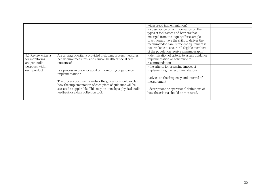|                     |                                                                                                                                                                                                                                                                                                              | widespread implementation)                      |  |
|---------------------|--------------------------------------------------------------------------------------------------------------------------------------------------------------------------------------------------------------------------------------------------------------------------------------------------------------|-------------------------------------------------|--|
|                     |                                                                                                                                                                                                                                                                                                              | • a description of, or information on the       |  |
|                     |                                                                                                                                                                                                                                                                                                              | types of facilitators and barriers that         |  |
|                     |                                                                                                                                                                                                                                                                                                              | emerged from the inquiry (for example,          |  |
|                     |                                                                                                                                                                                                                                                                                                              | practitioners have the skills to deliver the    |  |
|                     |                                                                                                                                                                                                                                                                                                              | recommended care, sufficient equipment is       |  |
|                     |                                                                                                                                                                                                                                                                                                              | not available to ensure all eligible members    |  |
|                     |                                                                                                                                                                                                                                                                                                              | of the population receive mammography).         |  |
| 5.3 Review criteria | Are a range of criteria provided including process measures,                                                                                                                                                                                                                                                 | • identification of criteria to assess guidance |  |
| for monitoring      | behavioural measures, and clinical, health or social care                                                                                                                                                                                                                                                    | implementation or adherence to                  |  |
| and/or audit        | outcomes?                                                                                                                                                                                                                                                                                                    | recommendations                                 |  |
| purposes within     |                                                                                                                                                                                                                                                                                                              | • the criteria for assessing impact of          |  |
| each product        | Is a process in place for audit or monitoring of guidance<br>implementation?<br>The process documents and/or the guidance should explain<br>how the implementation of each piece of guidance will be<br>assessed as applicable. This may be done by a physical audit,<br>feedback or a data collection tool. | implementing the recommendations                |  |
|                     |                                                                                                                                                                                                                                                                                                              |                                                 |  |
|                     |                                                                                                                                                                                                                                                                                                              | • advice on the frequency and interval of       |  |
|                     |                                                                                                                                                                                                                                                                                                              | measurement                                     |  |
|                     |                                                                                                                                                                                                                                                                                                              |                                                 |  |
|                     |                                                                                                                                                                                                                                                                                                              | • descriptions or operational definitions of    |  |
|                     |                                                                                                                                                                                                                                                                                                              | how the criteria should be measured.            |  |
|                     |                                                                                                                                                                                                                                                                                                              |                                                 |  |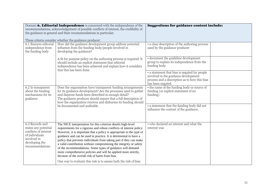| Domain 6. Editorial Independence is concerned with the independence of the<br>recommendations, acknowledgement of possible conflicts of interest, the credibility of<br>the guidance in general and their recommendations in particular. |                                                                                                                                                                                                                                                                                                                                                                                                                                                                                                                                                                                                                                                                                     | <b>Suggestions for guidance content include:</b>                                                                                                            |  |
|------------------------------------------------------------------------------------------------------------------------------------------------------------------------------------------------------------------------------------------|-------------------------------------------------------------------------------------------------------------------------------------------------------------------------------------------------------------------------------------------------------------------------------------------------------------------------------------------------------------------------------------------------------------------------------------------------------------------------------------------------------------------------------------------------------------------------------------------------------------------------------------------------------------------------------------|-------------------------------------------------------------------------------------------------------------------------------------------------------------|--|
|                                                                                                                                                                                                                                          | These criteria consider whether the guidance producer:                                                                                                                                                                                                                                                                                                                                                                                                                                                                                                                                                                                                                              |                                                                                                                                                             |  |
| 6.1 Ensures editorial<br>independence from<br>the funding body                                                                                                                                                                           | How did the guidance development group address potential<br>influence from the funding body/people involved in<br>developing the guidance?                                                                                                                                                                                                                                                                                                                                                                                                                                                                                                                                          | • a clear description of the authoring process<br>used by the guidance producer                                                                             |  |
|                                                                                                                                                                                                                                          | A fit for purpose policy on the authoring process is required. It<br>should include an explicit statement that editorial<br>independence has been achieved and explain how it considers<br>that this has been done.                                                                                                                                                                                                                                                                                                                                                                                                                                                                 | • document the guideline development<br>group to explain its independence from the<br>funding body                                                          |  |
|                                                                                                                                                                                                                                          |                                                                                                                                                                                                                                                                                                                                                                                                                                                                                                                                                                                                                                                                                     | • a statement that bias is negated for people<br>involved in the guidance development<br>process and a description as to how this bias<br>has been negated. |  |
| 6.2 Is transparent<br>about the funding<br>mechanisms for its<br>guidance                                                                                                                                                                | Does the organisation have transparent funding arrangements<br>for its guidance development? Are the processes used to gather<br>and disperse funds been described in enough detail?<br>The guidance producer should ensure that a full description of<br>how the organisation receives and disburses its funding should                                                                                                                                                                                                                                                                                                                                                            | • the name of the funding body or source of<br>funding (or explicit statement of no<br>funding)                                                             |  |
|                                                                                                                                                                                                                                          | be documented and auditable.                                                                                                                                                                                                                                                                                                                                                                                                                                                                                                                                                                                                                                                        | • a statement that the funding body did not<br>influence the content of the guidance.                                                                       |  |
| 6.3 Records and<br>states any potential<br>conflicts of interest<br>of individuals<br>involved in<br>developing the<br>recommendations                                                                                                   | The NICE interpretation for this criterion details high-level<br>requirements for a rigorous and robust conflicts of interest policy.<br>However, it is important that a policy is appropriate to the type of<br>guidance and can be used in practice. It is detrimental to have a<br>policy that prevents individuals from taking part if they can make<br>a valid contribution without compromising the integrity or safety<br>of the recommendations. Some types of guidance will demand<br>more comprehensive policies and will be applied more strictly,<br>because of the overall risk of harm from bias.<br>One way to evaluate this risk is to assess both the risk of bias | • who declared an interest and what the<br>interest was                                                                                                     |  |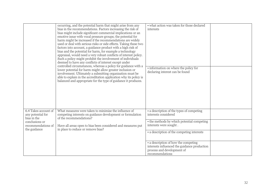|                                                                                                                  | occurring, and the potential harm that might arise from any<br>bias in the recommendations. Factors increasing the risk of<br>bias might include significant commercial implications or an<br>emotive issue with vocal pressure groups; the potential for<br>harm might be increased if the recommendations are widely<br>used or deal with serious risks or side effects. Taking these two<br>factors into account, a guidance product with a high risk of<br>bias and the potential for harm, for example a technology<br>appraisal, would need a very robust conflicts of interest policy.<br>Such a policy might prohibit the involvement of individuals<br>deemed to have any conflicts of interest except under<br>controlled circumstances, whereas a policy for guidance with a<br>lower potential for harm might allow greater inclusion or<br>involvement. Ultimately a submitting organisation must be<br>able to explain in the accreditation application why its policy is<br>balanced and appropriate for the type of guidance it produces. | • what action was taken for those declared<br>interests<br>• information on where the policy for<br>declaring interest can be found   |  |
|------------------------------------------------------------------------------------------------------------------|-----------------------------------------------------------------------------------------------------------------------------------------------------------------------------------------------------------------------------------------------------------------------------------------------------------------------------------------------------------------------------------------------------------------------------------------------------------------------------------------------------------------------------------------------------------------------------------------------------------------------------------------------------------------------------------------------------------------------------------------------------------------------------------------------------------------------------------------------------------------------------------------------------------------------------------------------------------------------------------------------------------------------------------------------------------|---------------------------------------------------------------------------------------------------------------------------------------|--|
| 6.4 Takes account of<br>any potential for<br>bias in the<br>conclusions or<br>recommendations of<br>the guidance | What measures were taken to minimise the influence of<br>competing interests on guidance development or formulation<br>of the recommendations?<br>Have all areas open to bias been considered and measures put<br>in place to reduce or remove bias?                                                                                                                                                                                                                                                                                                                                                                                                                                                                                                                                                                                                                                                                                                                                                                                                      | • a description of the types of competing<br>interests considered                                                                     |  |
|                                                                                                                  |                                                                                                                                                                                                                                                                                                                                                                                                                                                                                                                                                                                                                                                                                                                                                                                                                                                                                                                                                                                                                                                           | • the methods by which potential competing<br>interests were sought.                                                                  |  |
|                                                                                                                  |                                                                                                                                                                                                                                                                                                                                                                                                                                                                                                                                                                                                                                                                                                                                                                                                                                                                                                                                                                                                                                                           | • a description of the competing interests                                                                                            |  |
|                                                                                                                  |                                                                                                                                                                                                                                                                                                                                                                                                                                                                                                                                                                                                                                                                                                                                                                                                                                                                                                                                                                                                                                                           | • a description of how the competing<br>interests influenced the guidance production<br>process and development of<br>recommendations |  |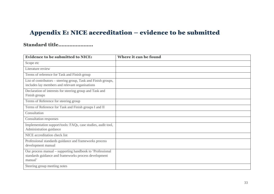# Appendix E: NICE accreditation – evidence to be submitted

## Standard title………………….

<span id="page-32-0"></span>

| <b>Evidence to be submitted to NICE:</b>                                                                                      | <b>Where it can be found</b> |
|-------------------------------------------------------------------------------------------------------------------------------|------------------------------|
| Scope etc                                                                                                                     |                              |
| Literature review                                                                                                             |                              |
| Terms of reference for Task and Finish group                                                                                  |                              |
| List of contributors – steering group, Task and Finish groups,<br>includes lay members and relevant organisations             |                              |
| Declaration of interests for steering group and Task and<br>Finish groups                                                     |                              |
| Terms of Reference for steering group                                                                                         |                              |
| Terms of Reference for Task and Finish groups I and II                                                                        |                              |
| Consultation                                                                                                                  |                              |
| <b>Consultation responses</b>                                                                                                 |                              |
| Implementation support/tools: FAQs, case studies, audit tool,<br>Administration guidance                                      |                              |
| NICE accreditation check list                                                                                                 |                              |
| Professional standards guidance and frameworks process<br>development manual                                                  |                              |
| Our process manual – supporting handbook to 'Professional<br>standards guidance and frameworks process development<br>manual' |                              |
| Steering group meeting notes                                                                                                  |                              |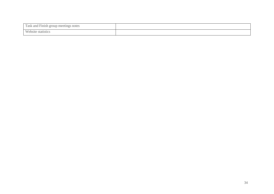| Task and Finish group meetings notes |  |
|--------------------------------------|--|
| $W$ ehsite<br>statistics             |  |